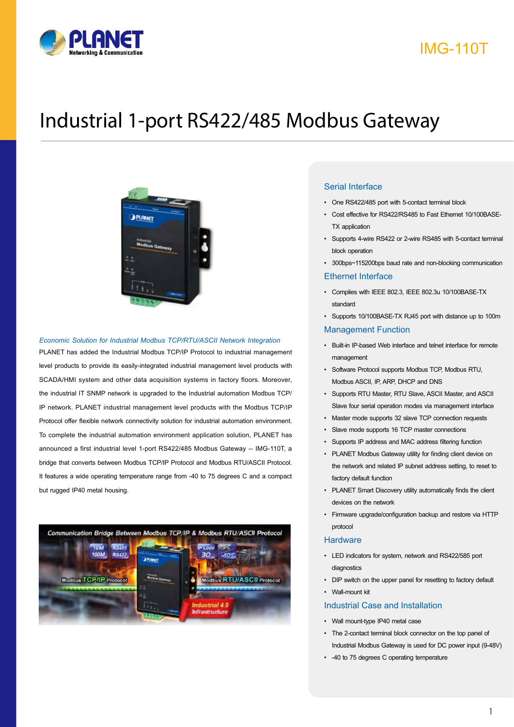

## IMG-110T

# Industrial 1-port RS422/485 Modbus Gateway



#### *Economic Solution for Industrial Modbus TCP/RTU/ASCII Network Integration*

PLANET has added the Industrial Modbus TCP/IP Protocol to industrial management level products to provide its easily-integrated industrial management level products with SCADA/HMI system and other data acquisition systems in factory floors. Moreover, the industrial IT SNMP network is upgraded to the Industrial automation Modbus TCP/ IP network. PLANET industrial management level products with the Modbus TCP/IP Protocol offer flexible network connectivity solution for industrial automation environment. To complete the industrial automation environment application solution, PLANET has announced a first industrial level 1-port RS422/485 Modbus Gateway -- IMG-110T, a bridge that converts between Modbus TCP/IP Protocol and Modbus RTU/ASCII Protocol. It features a wide operating temperature range from -40 to 75 degrees C and a compact but rugged IP40 metal housing.



#### Serial Interface

- One RS422/485 port with 5-contact terminal block
- Cost effective for RS422/RS485 to Fast Ethernet 10/100BASE-TX application
- Supports 4-wire RS422 or 2-wire RS485 with 5-contact terminal block operation
- 300bps~115200bps baud rate and non-blocking communication

#### Ethernet Interface

- Complies with IEEE 802.3, IEEE 802.3u 10/100BASE-TX standard
- Supports 10/100BASE-TX RJ45 port with distance up to 100m

#### Management Function

- Built-in IP-based Web interface and telnet interface for remote management
- Software Protocol supports Modbus TCP, Modbus RTU, Modbus ASCII, IP, ARP, DHCP and DNS
- Supports RTU Master, RTU Slave, ASCII Master, and ASCII Slave four serial operation modes via management interface
- Master mode supports 32 slave TCP connection requests
- Slave mode supports 16 TCP master connections
- Supports IP address and MAC address filtering function
- PLANET Modbus Gateway utility for finding client device on the network and related IP subnet address setting, to reset to factory default function
- PLANET Smart Discovery utility automatically finds the client devices on the network
- Firmware upgrade/configuration backup and restore via HTTP protocol

#### **Hardware**

- LED indicators for system, network and RS422/585 port diagnostics
- DIP switch on the upper panel for resetting to factory default
- Wall-mount kit

#### Industrial Case and Installation

- Wall mount-type IP40 metal case
- The 2-contact terminal block connector on the top panel of Industrial Modbus Gateway is used for DC power input (9-48V)
- -40 to 75 degrees C operating temperature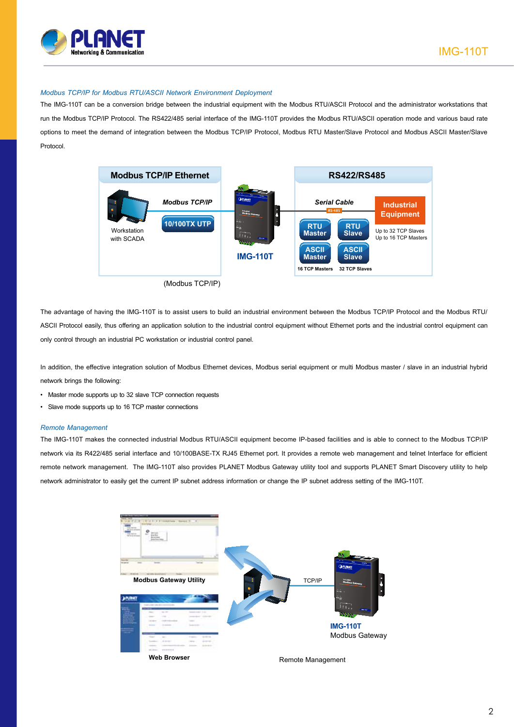

#### *Modbus TCP/IP for Modbus RTU/ASCII Network Environment Deployment*

The IMG-110T can be a conversion bridge between the industrial equipment with the Modbus RTU/ASCII Protocol and the administrator workstations that run the Modbus TCP/IP Protocol. The RS422/485 serial interface of the IMG-110T provides the Modbus RTU/ASCII operation mode and various baud rate options to meet the demand of integration between the Modbus TCP/IP Protocol, Modbus RTU Master/Slave Protocol and Modbus ASCII Master/Slave Protocol.



The advantage of having the IMG-110T is to assist users to build an industrial environment between the Modbus TCP/IP Protocol and the Modbus RTU/ ASCII Protocol easily, thus offering an application solution to the industrial control equipment without Ethernet ports and the industrial control equipment can only control through an industrial PC workstation or industrial control panel.

In addition, the effective integration solution of Modbus Ethernet devices, Modbus serial equipment or multi Modbus master / slave in an industrial hybrid network brings the following:

- Master mode supports up to 32 slave TCP connection requests
- Slave mode supports up to 16 TCP master connections

#### *Remote Management*

The IMG-110T makes the connected industrial Modbus RTU/ASCII equipment become IP-based facilities and is able to connect to the Modbus TCP/IP network via its R422/485 serial interface and 10/100BASE-TX RJ45 Ethernet port. It provides a remote web management and telnet Interface for efficient remote network management. The IMG-110T also provides PLANET Modbus Gateway utility tool and supports PLANET Smart Discovery utility to help network administrator to easily get the current IP subnet address information or change the IP subnet address setting of the IMG-110T.

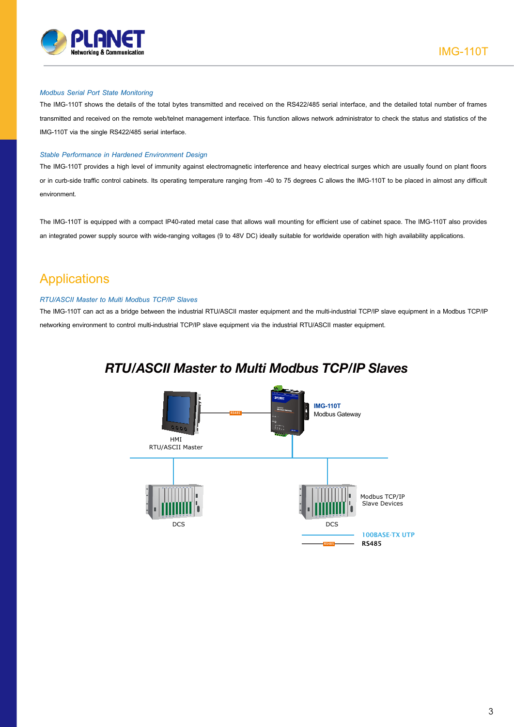

#### *Modbus Serial Port State Monitoring*

The IMG-110T shows the details of the total bytes transmitted and received on the RS422/485 serial interface, and the detailed total number of frames transmitted and received on the remote web/telnet management interface. This function allows network administrator to check the status and statistics of the IMG-110T via the single RS422/485 serial interface.

#### *Stable Performance in Hardened Environment Design*

The IMG-110T provides a high level of immunity against electromagnetic interference and heavy electrical surges which are usually found on plant floors or in curb-side traffic control cabinets. Its operating temperature ranging from -40 to 75 degrees C allows the IMG-110T to be placed in almost any difficult environment.

The IMG-110T is equipped with a compact IP40-rated metal case that allows wall mounting for efficient use of cabinet space. The IMG-110T also provides an integrated power supply source with wide-ranging voltages (9 to 48V DC) ideally suitable for worldwide operation with high availability applications.

### **Applications**

#### *RTU/ASCII Master to Multi Modbus TCP/IP Slaves*

The IMG-110T can act as a bridge between the industrial RTU/ASCII master equipment and the multi-industrial TCP/IP slave equipment in a Modbus TCP/IP networking environment to control multi-industrial TCP/IP slave equipment via the industrial RTU/ASCII master equipment.

### *RTU/ASCII Master to Multi Modbus TCP/IP Slaves*

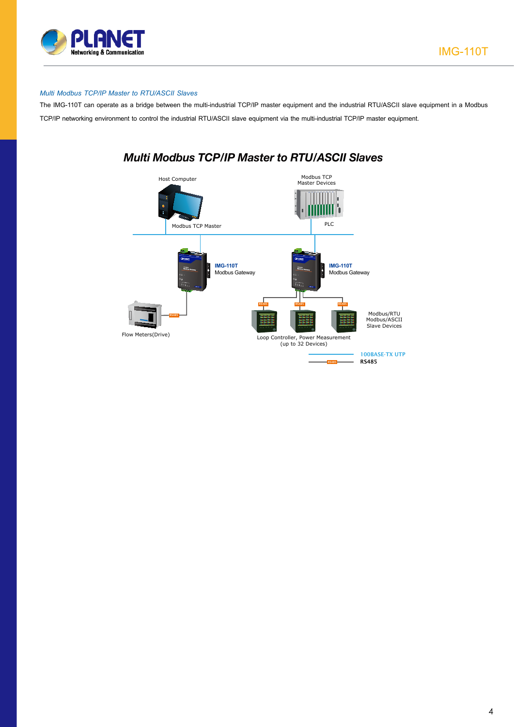

#### *Multi Modbus TCP/IP Master to RTU/ASCII Slaves*

The IMG-110T can operate as a bridge between the multi-industrial TCP/IP master equipment and the industrial RTU/ASCII slave equipment in a Modbus TCP/IP networking environment to control the industrial RTU/ASCII slave equipment via the multi-industrial TCP/IP master equipment.



### *Multi Modbus TCP/IP Master to RTU/ASCII Slaves*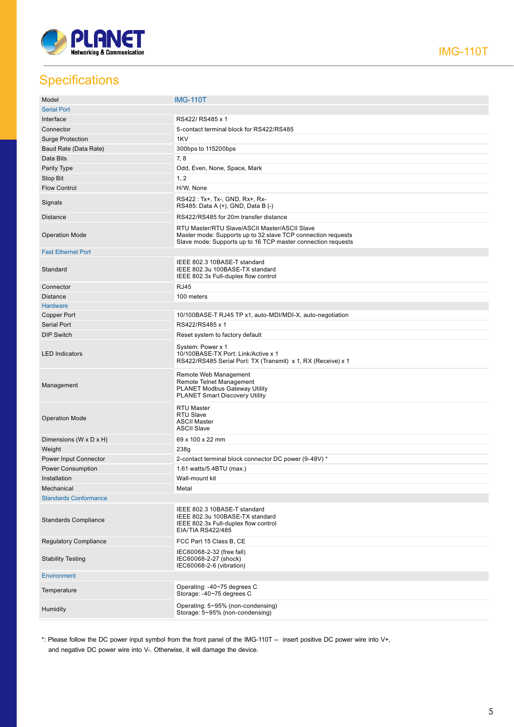

## **Specifications**

| Model                        | <b>IMG-110T</b>                                                                                                                                                               |
|------------------------------|-------------------------------------------------------------------------------------------------------------------------------------------------------------------------------|
| <b>Serial Port</b>           |                                                                                                                                                                               |
| Interface                    | RS422/RS485 x 1                                                                                                                                                               |
| Connector                    | 5-contact terminal block for RS422/RS485                                                                                                                                      |
| <b>Surge Protection</b>      | 1KV                                                                                                                                                                           |
| Baud Rate (Data Rate)        | 300bps to 115200bps                                                                                                                                                           |
| Data Bits                    | 7, 8                                                                                                                                                                          |
| Parity Type                  | Odd, Even, None, Space, Mark                                                                                                                                                  |
| Stop Bit                     | 1, 2                                                                                                                                                                          |
| <b>Flow Control</b>          | H/W, None                                                                                                                                                                     |
|                              |                                                                                                                                                                               |
| Signals                      | RS422 : Tx+, Tx-, GND, Rx+, Rx-<br>RS485: Data A (+), GND, Data B (-)                                                                                                         |
| <b>Distance</b>              | RS422/RS485 for 20m transfer distance                                                                                                                                         |
| <b>Operation Mode</b>        | RTU Master/RTU Slave/ASCII Master/ASCII Slave<br>Master mode: Supports up to 32 slave TCP connection requests<br>Slave mode: Supports up to 16 TCP master connection requests |
| <b>Fast Ethernet Port</b>    |                                                                                                                                                                               |
| Standard                     | IEEE 802.3 10BASE-T standard<br>IEEE 802.3u 100BASE-TX standard<br>IEEE 802.3x Full-duplex flow control                                                                       |
| Connector                    | <b>RJ45</b>                                                                                                                                                                   |
| <b>Distance</b>              | 100 meters                                                                                                                                                                    |
| <b>Hardware</b>              |                                                                                                                                                                               |
| <b>Copper Port</b>           | 10/100BASE-T RJ45 TP x1, auto-MDI/MDI-X, auto-negotiation                                                                                                                     |
| <b>Serial Port</b>           | RS422/RS485 x 1                                                                                                                                                               |
| <b>DIP Switch</b>            | Reset system to factory default                                                                                                                                               |
| <b>LED Indicators</b>        | System: Power x 1<br>10/100BASE-TX Port: Link/Active x 1<br>RS422/RS485 Serial Port: TX (Transmit) x 1, RX (Receive) x 1                                                      |
| Management                   | Remote Web Management<br>Remote Telnet Management<br><b>PLANET Modbus Gateway Utility</b><br><b>PLANET Smart Discovery Utility</b>                                            |
| <b>Operation Mode</b>        | RTU Master<br><b>RTU Slave</b><br><b>ASCII Master</b><br><b>ASCII Slave</b>                                                                                                   |
| Dimensions (W x D x H)       | 69 x 100 x 22 mm                                                                                                                                                              |
| Weight                       | 238g                                                                                                                                                                          |
| Power Input Connector        | 2-contact terminal block connector DC power (9-48V) *                                                                                                                         |
| <b>Power Consumption</b>     | 1.61 watts/5.4BTU (max.)                                                                                                                                                      |
| Installation                 | Wall-mount kit                                                                                                                                                                |
| Mechanical                   | Metal                                                                                                                                                                         |
| <b>Standards Conformance</b> |                                                                                                                                                                               |
| <b>Standards Compliance</b>  | IEEE 802.3 10BASE-T standard<br>IEEE 802.3u 100BASE-TX standard<br>IEEE 802.3x Full-duplex flow control<br>EIA/TIA RS422/485                                                  |
| <b>Regulatory Compliance</b> | FCC Part 15 Class B, CE                                                                                                                                                       |
| <b>Stability Testing</b>     | IEC60068-2-32 (free fall)<br>IEC60068-2-27 (shock)<br>IEC60068-2-6 (vibration)                                                                                                |
| <b>Environment</b>           |                                                                                                                                                                               |
| Temperature                  | Operating: -40~75 degrees C<br>Storage: -40~75 degrees C                                                                                                                      |
| Humidity                     | Operating: 5~95% (non-condensing)<br>Storage: 5~95% (non-condensing)                                                                                                          |

\*: Please follow the DC power input symbol from the front panel of the IMG-110T -- insert positive DC power wire into V+, and negative DC power wire into V-. Otherwise, it will damage the device.